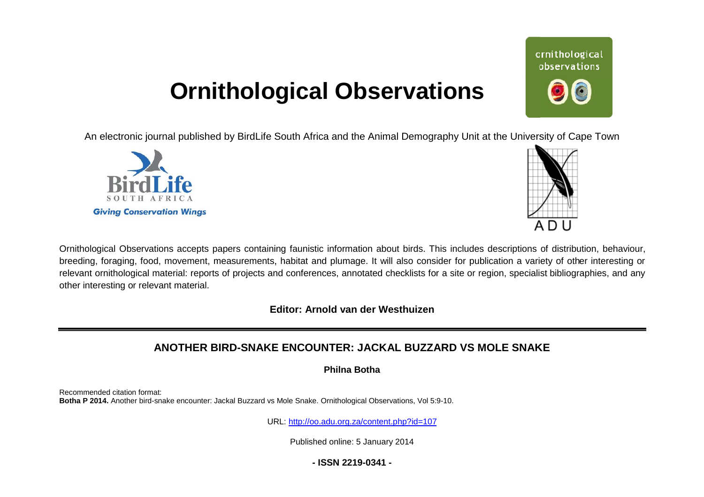## **Ornithological Observations**

An electronic journal published by BirdLife South Africa and the Animal Demography Unit at the University of Cape Town





Ornithological Observations accepts papers containing faunistic information about birds. This includes descriptions of distribution, behaviour, breeding, foraging, food, movement, measurements, habitat and plumage. It will also consider for publication a variety of other interesting or relevant ornithological material: reports of projects and conferences, annotated checklists for a site or region, specialist bibliographies, and any other interesting or relevant material.

**Editor: Arnold van der Westhuizen**

## **ANOTHER BIRD-SNAKE ENCOUNTE SNAKE ENCOUNTER: JACKAL BUZZARD VS MOLE SNAKE**

**Philna Botha** 

Recommended citation format: Botha P 2014. Another bird-snake encounter: Jackal Buzzard vs Mole Snake. Ornithological Observations, Vol 5:9-10.

URL: <http://oo.adu.org.za/content.php?id=107>

Published online: 5 January 2014

**- ISSN 2219-0341 -** 

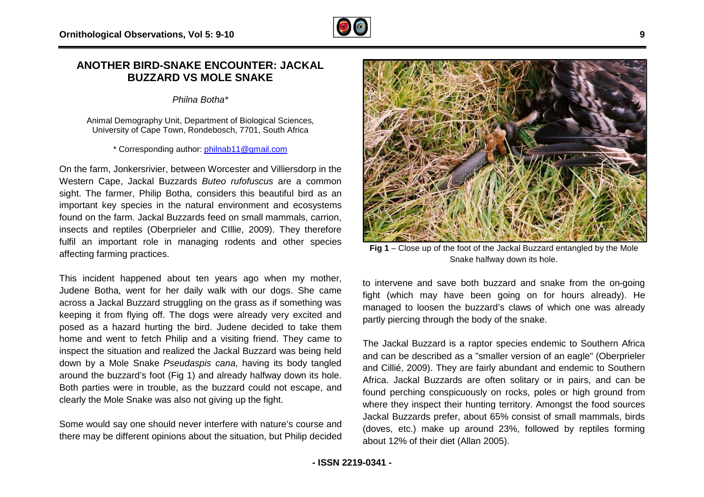## **ANOTHER BIRD-SNAKE ENCOUNTER: JAC SNAKE JACKAL BUZZARD VS MOLE SNAKE**

*Philna Botha\**

Animal Demography Unit, Department of Biological Sciences, University of Cape Town, Rondebosch, 7701, South Africa

\* Corresponding author: philnab11@gmail.com

On the farm, Jonkersrivier, between Worcester and Villiersdorp in the Western Cape, Jackal Buzzards *Buteo rufofuscus* are a common sight. The farmer, Philip Botha, considers this beautiful bird as an important key species in the natural environment and ecosystems found on the farm. Jackal Buzzards feed on small mammals, carrion, insects and reptiles (Oberprieler and CIllie, 2009). They ther therefore fulfil an important role in managing rodents and other species affecting farming practices.

This incident happened about ten years ago when my mother, Judene Botha, went for her daily walk with our dogs. She came across a Jackal Buzzard struggling on the grass as if something was keeping it from flying off. The dogs were already very excited and posed as a hazard hurting the bird. Judene decided to take them home and went to fetch Philip and a visiting friend. They came to inspect the situation and realized the Jackal Buzzard was being held down by a Mole Snake *Pseudaspis cana*, having its body around the buzzard's foot (Fig 1) and already halfway down its hole. Both parties were in trouble, as the buzzard could not escape, and clearly the Mole Snake was also not giving up the fight. struggling on the grass as if something was<br>The dogs were already very excited and<br>ng the bird. Judene decided to take them<br>Philip and a visiting friend. They came to<br>ealized the Jackal Buzzard was being held<br>Pseudaspis ca

Some would say one should never interfere with nature's course and there may be different opinions about the situation, but Philip decided



**Fig 1** – Close up of the foot of the Jackal Buzzard entangled by the Mole Snake halfway down its hole. Snake halfway down its hole.

to intervene and save both buzzard and snake from the on-going fight (which may have been going on for hours already). He managed to loosen the buzzard's claws of which one was already partly piercing through the body of the snake.

partly piercing through the body of the snake.<br>The Jackal Buzzard is a raptor species endemic to Southern Africa and can be described as a "smaller version of an eagle" (Oberprieler and Cillié, 2009). They are fairly abundant and endemic to Southern Africa. Jackal Buzzards are often solitary or in pairs, and can be found perching conspicuously on rocks, poles or high ground from where they inspect their hunting territory. Amongst the food sources Jackal Buzzards prefer, about 65% consist of (doves, etc.) make up around 23%, followed by reptiles forming about 12% of their diet (Allan 2005). Suzzards are often solitary or in pairs, and can be conspicuously on rocks, poles or high ground from<br>ect their hunting territory. Amongst the food sources<br>i prefer, about 65% consist of small mammals, birds